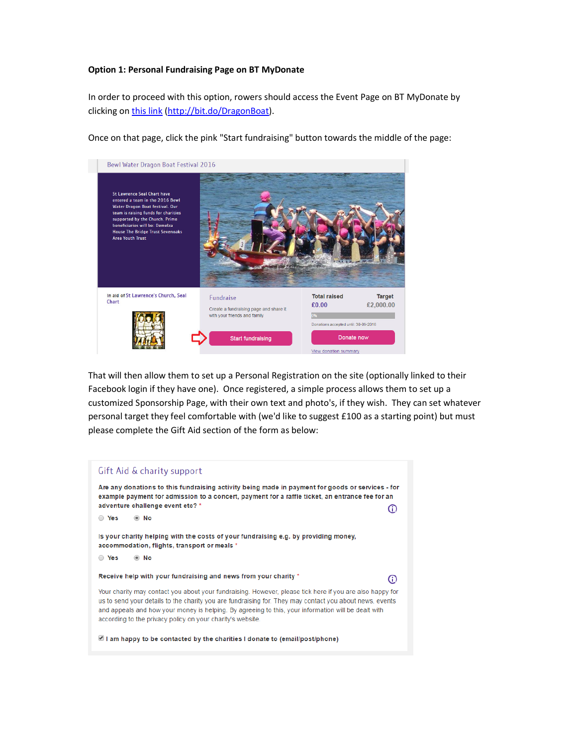## **Option 1: Personal Fundraising Page on BT MyDonate**

In order to proceed with this option, rowers should access the Event Page on BT MyDonate by clicking on this link (http://bit.do/DragonBoat).



Once on that page, click the pink "Start fundraising" button towards the middle of the page:

That will then allow them to set up a Personal Registration on the site (optionally linked to their Facebook login if they have one). Once registered, a simple process allows them to set up a customized Sponsorship Page, with their own text and photo's, if they wish. They can set whatever personal target they feel comfortable with (we'd like to suggest £100 as a starting point) but must please complete the Gift Aid section of the form as below:

## Gift Aid & charity support Are any donations to this fundraising activity being made in payment for goods or services - for example payment for admission to a concert, payment for a raffle ticket, an entrance fee for an adventure challenge event etc? \* ⊙ ○ Yes  $\odot$  No Is your charity helping with the costs of your fundraising e.g. by providing money, accommodation, flights, transport or meals \* ○ Yes  $\odot$  No Receive help with your fundraising and news from your charity \* ത Your charity may contact you about your fundraising. However, please tick here if you are also happy for us to send your details to the charity you are fundraising for. They may contact you about news, events and appeals and how your money is helping. By agreeing to this, your information will be dealt with according to the privacy policy on your charity's website. I am happy to be contacted by the charities I donate to (email/post/phone)